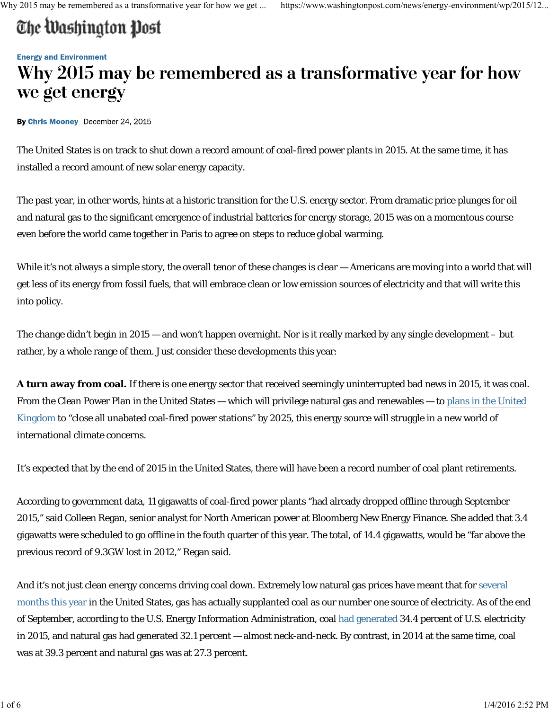# The Washington Post

#### **Energy and Environment**

## Why 2015 may be remembered as a transformative year for how we get energy

By Chris Mooney December 24, 2015

The United States is on track to shut down a record amount of coal-fired power plants in 2015. At the same time, it has installed a record amount of new solar energy capacity.

The past year, in other words, hints at a historic transition for the U.S. energy sector. From dramatic price plunges for oil and natural gas to the significant emergence of industrial batteries for energy storage, 2015 was on a momentous course even before the world came together in Paris to agree on steps to reduce global warming.

While it's not always a simple story, the overall tenor of these changes is clear — Americans are moving into a world that will get less of its energy from fossil fuels, that will embrace clean or low emission sources of electricity and that will write this into policy.

The change didn't begin in 2015 — and won't happen overnight. Nor is it really marked by any single development – but rather, by a whole range of them. Just consider these developments this year:

**A turn away from coal.** If there is one energy sector that received seemingly uninterrupted bad news in 2015, it was coal. From the Clean Power Plan in the United States — which will privilege natural gas and renewables — to plans in the United Kingdom to "close all unabated coal-fired power stations" by 2025, this energy source will struggle in a new world of international climate concerns.

It's expected that by the end of 2015 in the United States, there will have been a record number of coal plant retirements.

According to government data, 11 gigawatts of coal-fired power plants "had already dropped offline through September 2015," said Colleen Regan, senior analyst for North American power at Bloomberg New Energy Finance. She added that 3.4 gigawatts were scheduled to go offline in the fouth quarter of this year. The total, of 14.4 gigawatts, would be "far above the previous record of 9.3GW lost in 2012," Regan said.

And it's not just clean energy concerns driving coal down. Extremely low natural gas prices have meant that for several months this year in the United States, gas has actually supplanted coal as our number one source of electricity. As of the end of September, according to the U.S. Energy Information Administration, coal had generated 34.4 percent of U.S. electricity in 2015, and natural gas had generated 32.1 percent — almost neck-and-neck. By contrast, in 2014 at the same time, coal was at 39.3 percent and natural gas was at 27.3 percent.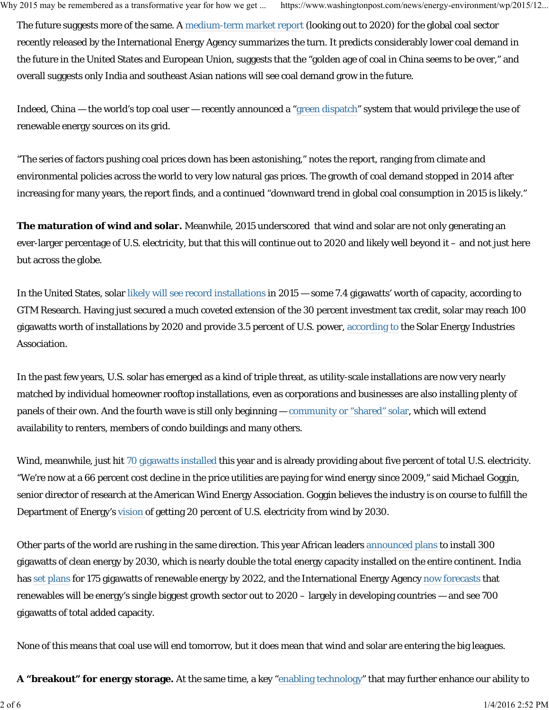The future suggests more of the same. A medium-term market report (looking out to 2020) for the global coal sector recently released by the International Energy Agency summarizes the turn. It predicts considerably lower coal demand in the future in the United States and European Union, suggests that the "golden age of coal in China seems to be over," and overall suggests only India and southeast Asian nations will see coal demand grow in the future.

Indeed, China — the world's top coal user — recently announced a "green dispatch" system that would privilege the use of renewable energy sources on its grid.

"The series of factors pushing coal prices down has been astonishing," notes the report, ranging from climate and environmental policies across the world to very low natural gas prices. The growth of coal demand stopped in 2014 after increasing for many years, the report finds, and a continued "downward trend in global coal consumption in 2015 is likely."

**The maturation of wind and solar.** Meanwhile, 2015 underscored that wind and solar are not only generating an ever-larger percentage of U.S. electricity, but that this will continue out to 2020 and likely well beyond it – and not just here but across the globe.

In the United States, solar likely will see record installations in 2015 — some 7.4 gigawatts' worth of capacity, according to GTM Research. Having just secured a much coveted extension of the 30 percent investment tax credit, solar may reach 100 gigawatts worth of installations by 2020 and provide 3.5 percent of U.S. power, according to the Solar Energy Industries Association.

In the past few years, U.S. solar has emerged as a kind of triple threat, as utility-scale installations are now very nearly matched by individual homeowner rooftop installations, even as corporations and businesses are also installing plenty of panels of their own. And the fourth wave is still only beginning — community or "shared" solar, which will extend availability to renters, members of condo buildings and many others.

Wind, meanwhile, just hit 70 gigawatts installed this year and is already providing about five percent of total U.S. electricity. "We're now at a 66 percent cost decline in the price utilities are paying for wind energy since 2009," said Michael Goggin, senior director of research at the American Wind Energy Association. Goggin believes the industry is on course to fulfill the Department of Energy's vision of getting 20 percent of U.S. electricity from wind by 2030.

Other parts of the world are rushing in the same direction. This year African leaders announced plans to install 300 gigawatts of clean energy by 2030, which is nearly double the total energy capacity installed on the entire continent. India has set plans for 175 gigawatts of renewable energy by 2022, and the International Energy Agency now forecasts that renewables will be energy's single biggest growth sector out to 2020 – largely in developing countries — and see 700 gigawatts of total added capacity.

None of this means that coal use will end tomorrow, but it does mean that wind and solar are entering the big leagues.

**A "breakout" for energy storage.** At the same time, a key "enabling technology" that may further enhance our ability to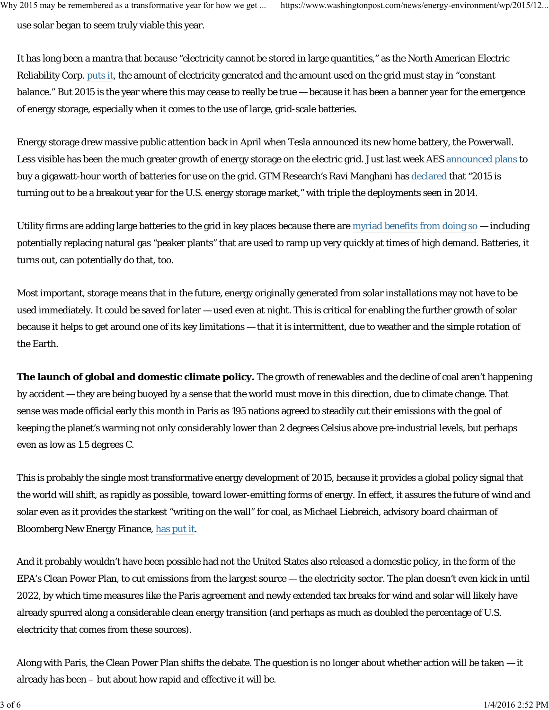use solar began to seem truly viable this year.

It has long been a mantra that because "electricity cannot be stored in large quantities," as the North American Electric Reliability Corp. puts it, the amount of electricity generated and the amount used on the grid must stay in "constant balance." But 2015 is the year where this may cease to really be true — because it has been a banner year for the emergence of energy storage, especially when it comes to the use of large, grid-scale batteries.

Energy storage drew massive public attention back in April when Tesla announced its new home battery, the Powerwall. Less visible has been the much greater growth of energy storage on the electric grid. Just last week AES announced plans to buy a gigawatt-hour worth of batteries for use on the grid. GTM Research's Ravi Manghani has declared that "2015 is turning out to be a breakout year for the U.S. energy storage market," with triple the deployments seen in 2014.

Utility firms are adding large batteries to the grid in key places because there are myriad benefits from doing so — including potentially replacing natural gas "peaker plants" that are used to ramp up very quickly at times of high demand. Batteries, it turns out, can potentially do that, too.

Most important, storage means that in the future, energy originally generated from solar installations may not have to be used immediately. It could be saved for later — used even at night. This is critical for enabling the further growth of solar because it helps to get around one of its key limitations — that it is intermittent, due to weather and the simple rotation of the Earth.

**The launch of global and domestic climate policy.** The growth of renewables and the decline of coal aren't happening by accident — they are being buoyed by a sense that the world must move in this direction, due to climate change. That sense was made official early this month in Paris as 195 nations agreed to steadily cut their emissions with the goal of keeping the planet's warming not only considerably lower than 2 degrees Celsius above pre-industrial levels, but perhaps even as low as 1.5 degrees C.

This is probably the single most transformative energy development of 2015, because it provides a global policy signal that the world will shift, as rapidly as possible, toward lower-emitting forms of energy. In effect, it assures the future of wind and solar even as it provides the starkest "writing on the wall" for coal, as Michael Liebreich, advisory board chairman of Bloomberg New Energy Finance, has put it..

And it probably wouldn't have been possible had not the United States also released a domestic policy, in the form of the EPA's Clean Power Plan, to cut emissions from the largest source — the electricity sector. The plan doesn't even kick in until 2022, by which time measures like the Paris agreement and newly extended tax breaks for wind and solar will likely have already spurred along a considerable clean energy transition (and perhaps as much as doubled the percentage of U.S. electricity that comes from these sources).

Along with Paris, the Clean Power Plan shifts the debate. The question is no longer about whether action will be taken — it already has been – but about how rapid and effective it will be.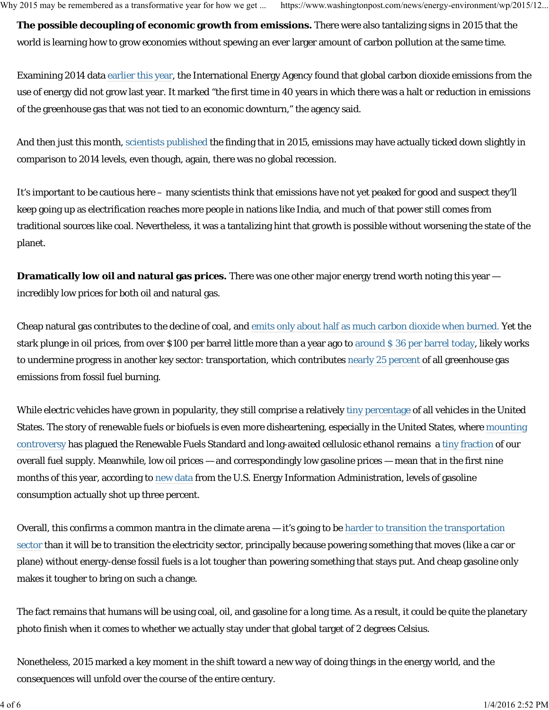**The possible decoupling of economic growth from emissions.** There were also tantalizing signs in 2015 that the world is learning how to grow economies without spewing an ever larger amount of carbon pollution at the same time.

Examining 2014 data earlier this year, the International Energy Agency found that global carbon dioxide emissions from the use of energy did not grow last year. It marked "the first time in 40 years in which there was a halt or reduction in emissions of the greenhouse gas that was not tied to an economic downturn," the agency said.

And then just this month, scientists published the finding that in 2015, emissions may have actually ticked down slightly in comparison to 2014 levels, even though, again, there was no global recession.

It's important to be cautious here – many scientists think that emissions have not yet peaked for good and suspect they'll keep going up as electrification reaches more people in nations like India, and much of that power still comes from traditional sources like coal. Nevertheless, it was a tantalizing hint that growth is possible without worsening the state of the planet.

**Dramatically low oil and natural gas prices.** There was one other major energy trend worth noting this year incredibly low prices for both oil and natural gas.

Cheap natural gas contributes to the decline of coal, and emits only about half as much carbon dioxide when burned. Yet the stark plunge in oil prices, from over \$100 per barrel little more than a year ago to around \$ 36 per barrel today, likely works to undermine progress in another key sector: transportation, which contributes nearly 25 percent of all greenhouse gas emissions from fossil fuel burning.

While electric vehicles have grown in popularity, they still comprise a relatively tiny percentage of all vehicles in the United States. The story of renewable fuels or biofuels is even more disheartening, especially in the United States, where mounting controversy has plagued the Renewable Fuels Standard and long-awaited cellulosic ethanol remains a tiny fraction of our overall fuel supply. Meanwhile, low oil prices — and correspondingly low gasoline prices — mean that in the first nine months of this year, according to new data from the U.S. Energy Information Administration, levels of gasoline consumption actually shot up three percent.

Overall, this confirms a common mantra in the climate arena — it's going to be harder to transition the transportation sector than it will be to transition the electricity sector, principally because powering something that moves (like a car or plane) without energy-dense fossil fuels is a lot tougher than powering something that stays put. And cheap gasoline only makes it tougher to bring on such a change.

The fact remains that humans will be using coal, oil, and gasoline for a long time. As a result, it could be quite the planetary photo finish when it comes to whether we actually stay under that global target of 2 degrees Celsius.

Nonetheless, 2015 marked a key moment in the shift toward a new way of doing things in the energy world, and the consequences will unfold over the course of the entire century.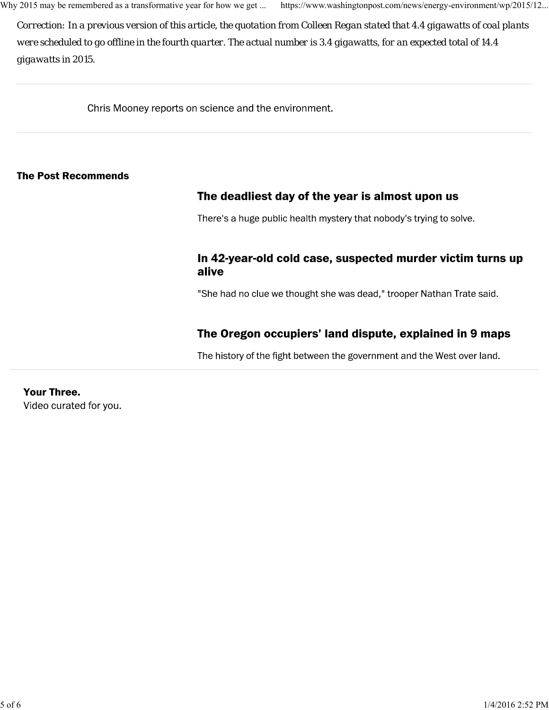Why 2015 may be remembered as a transformative year for how we get ... https://www.washingtonpost.com/news/energy-environment/wp/2015/12...

*Correction: In a previous version of this article, the quotation from Colleen Regan stated that 4.4 gigawatts of coal plants were scheduled to go offline in the fourth quarter. The actual number is 3.4 gigawatts, for an expected total of 14.4 gigawatts in 2015.*

Chris Mooney reports on science and the environment.

#### **The Post Recommends**

### The deadliest day of the year is almost upon us

There's a huge public health mystery that nobody's trying to solve.

#### In 42-year-old cold case, suspected murder victim turns up alive

"She had no clue we thought she was dead," trooper Nathan Trate said.

### The Oregon occupiers' land dispute, explained in 9 maps

The history of the fight between the government and the West over land.

**Your Three.** Video curated for you.